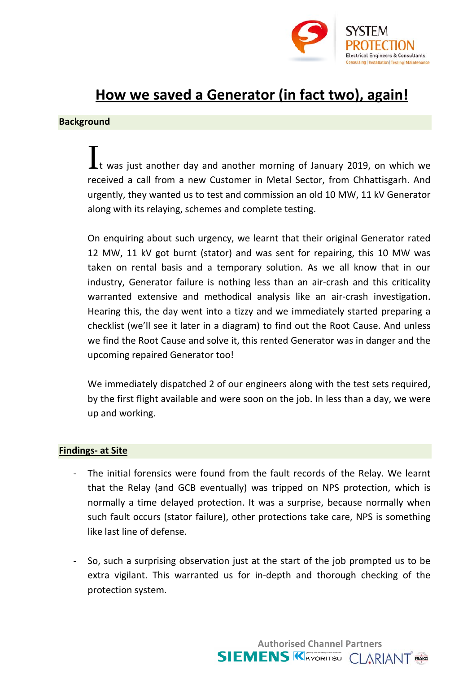

## How we saved a Generator (in fact two), again!

## **Background**

Lt was just another day and another morning of January 2019, on which we received a call from a new Customer in Metal Sector, from Chhattisgarh. And urgently, they wanted us to test and commission an old 10 MW, 11 kV Generator along with its relaying, schemes and complete testing.

On enquiring about such urgency, we learnt that their original Generator rated 12 MW, 11 kV got burnt (stator) and was sent for repairing, this 10 MW was taken on rental basis and a temporary solution. As we all know that in our industry, Generator failure is nothing less than an air-crash and this criticality warranted extensive and methodical analysis like an air-crash investigation. Hearing this, the day went into a tizzy and we immediately started preparing a checklist (we'll see it later in a diagram) to find out the Root Cause. And unless we find the Root Cause and solve it, this rented Generator was in danger and the upcoming repaired Generator too!

We immediately dispatched 2 of our engineers along with the test sets required, by the first flight available and were soon on the job. In less than a day, we were up and working.

## **Findings- at Site**

- The initial forensics were found from the fault records of the Relay. We learnt that the Relay (and GCB eventually) was tripped on NPS protection, which is normally a time delayed protection. It was a surprise, because normally when such fault occurs (stator failure), other protections take care, NPS is something like last line of defense.
- So, such a surprising observation just at the start of the job prompted us to be extra vigilant. This warranted us for in-depth and thorough checking of the protection system.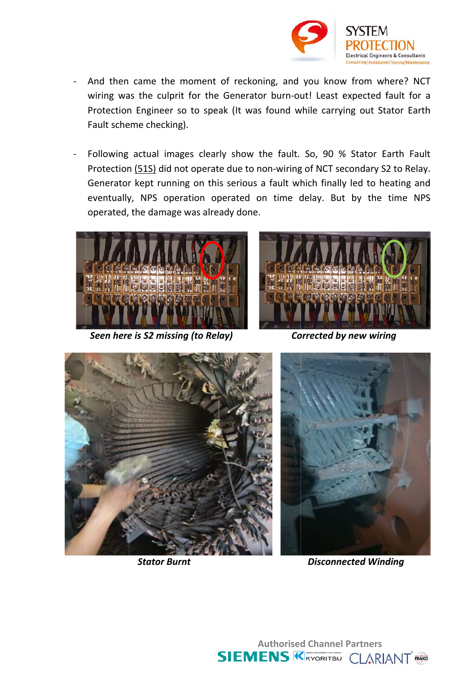

- And then came the moment of reckoning, and you know from where? NCT wiring was the culprit for the Generator burn-out! Least expected fault for a Protection Engineer so to speak (It was found while carrying out Stator Earth Fault scheme checking).
- Following actual images clearly show the fault. So, 90 % Stator Earth Fault Protection (51S) did not operate due to non-wiring of NCT secondary S2 to Relay. Generator kept running on this serious a fault which finally led to heating and eventually, NPS operation operated on time delay. But by the time NPS operated, the damage was already done.



Seen here is S2 missing (to Relay)



**Corrected by new wiring** 



**Stator Burnt** 



**Disconnected Winding** 

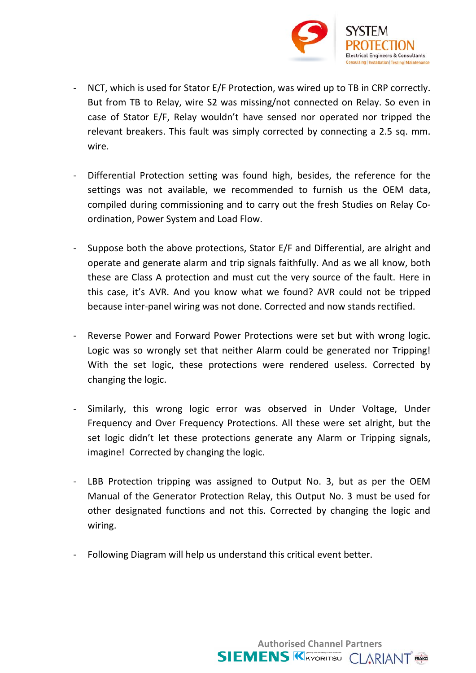

- NCT, which is used for Stator E/F Protection, was wired up to TB in CRP correctly. But from TB to Relay, wire S2 was missing/not connected on Relay. So even in case of Stator E/F, Relay wouldn't have sensed nor operated nor tripped the relevant breakers. This fault was simply corrected by connecting a 2.5 sq. mm. wire
- Differential Protection setting was found high, besides, the reference for the  $\mathbf{L}^{\text{max}}$ settings was not available, we recommended to furnish us the OEM data, compiled during commissioning and to carry out the fresh Studies on Relay Coordination, Power System and Load Flow.
- $\omega_{\rm{max}}$ Suppose both the above protections, Stator E/F and Differential, are alright and operate and generate alarm and trip signals faithfully. And as we all know, both these are Class A protection and must cut the very source of the fault. Here in this case, it's AVR. And you know what we found? AVR could not be tripped because inter-panel wiring was not done. Corrected and now stands rectified.
- Reverse Power and Forward Power Protections were set but with wrong logic.  $\omega$  . Logic was so wrongly set that neither Alarm could be generated nor Tripping! With the set logic, these protections were rendered useless. Corrected by changing the logic.
- Similarly, this wrong logic error was observed in Under Voltage, Under  $\omega_{\rm{max}}$ Frequency and Over Frequency Protections. All these were set alright, but the set logic didn't let these protections generate any Alarm or Tripping signals, imagine! Corrected by changing the logic.
- LBB Protection tripping was assigned to Output No. 3, but as per the OEM  $\frac{1}{2}$  . Manual of the Generator Protection Relay, this Output No. 3 must be used for other designated functions and not this. Corrected by changing the logic and wiring.

**Authorised Channel Partners SIEMENS KATORITSU CLARIANT** 

Following Diagram will help us understand this critical event better.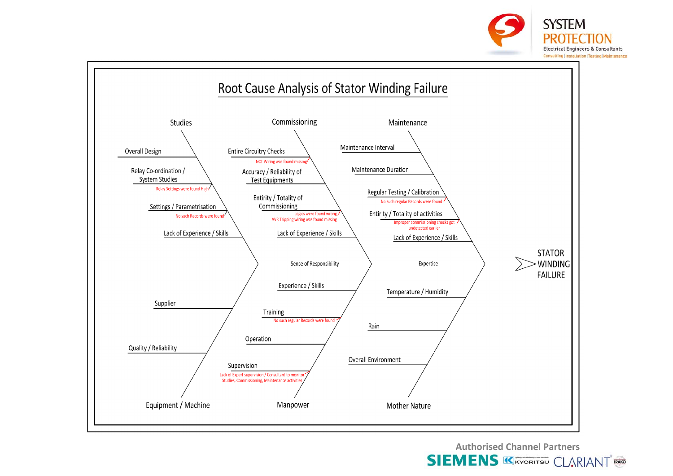



**Authorised Channel Partners**

**SIEMENS KIRYORITSU CLARIANT RAKG**